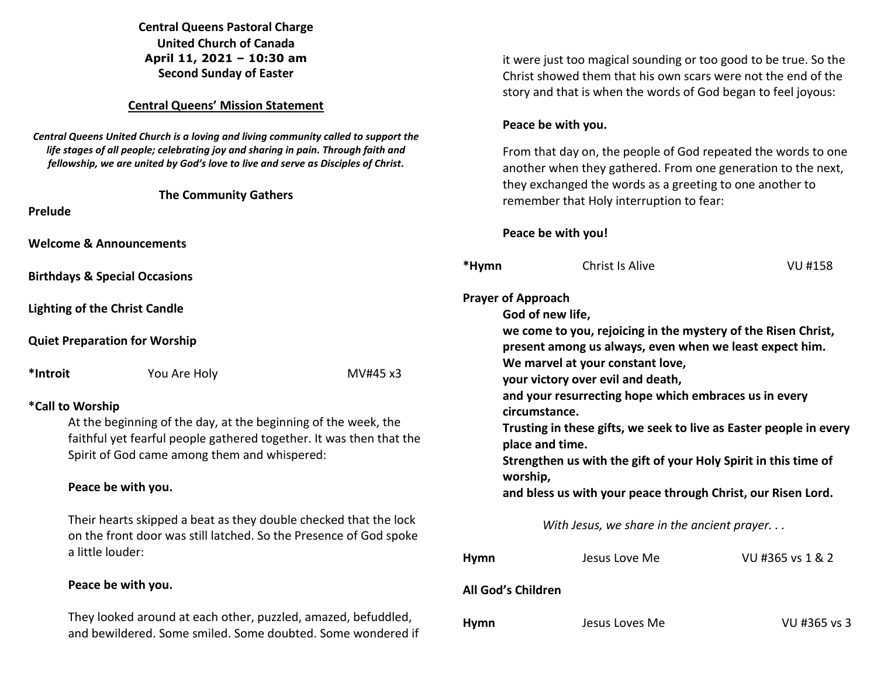### **Central Queens Pastoral Charge United Church of Canada April 11, 2021 – 10:30 am Second Sunday of Easter**

#### **Central Queens' Mission Statement**

*Central Queens United Church is a loving and living community called to support the life stages of all people; celebrating joy and sharing in pain. Through faith and fellowship, we are united by God's love to live and serve as Disciples of Christ***.** 

| Prelude                            | <b>The Community Gathers</b> |  |  |  |
|------------------------------------|------------------------------|--|--|--|
| <b>Welcome &amp; Announcements</b> |                              |  |  |  |

**Birthdays & Special Occasions** 

**Lighting of the Christ Candle** 

**Quiet Preparation for Worship** 

\*Introit **You Are Holy MV#45 x3** 

# **\*Call to Worship**

At the beginning of the day, at the beginning of the week, the faithful yet fearful people gathered together. It was then that the Spirit of God came among them and whispered:

## **Peace be with you.**

 Their hearts skipped a beat as they double checked that the lock on the front door was still latched. So the Presence of God spoke a little louder:

## **Peace be with you.**

 They looked around at each other, puzzled, amazed, befuddled, and bewildered. Some smiled. Some doubted. Some wondered if it were just too magical sounding or too good to be true. So the Christ showed them that his own scars were not the end of the story and that is when the words of God began to feel joyous:

### **Peace be with you.**

 From that day on, the people of God repeated the words to one another when they gathered. From one generation to the next, they exchanged the words as a greeting to one another to remember that Holy interruption to fear:

### **Peace be with you!**

| *Hymn                                                                                                                                                                                                                                                                                                                                                                                                                                                                                                                                                                | <b>Christ Is Alive</b>                     | VU #158          |  |  |  |
|----------------------------------------------------------------------------------------------------------------------------------------------------------------------------------------------------------------------------------------------------------------------------------------------------------------------------------------------------------------------------------------------------------------------------------------------------------------------------------------------------------------------------------------------------------------------|--------------------------------------------|------------------|--|--|--|
| <b>Prayer of Approach</b><br>God of new life,<br>we come to you, rejoicing in the mystery of the Risen Christ,<br>present among us always, even when we least expect him.<br>We marvel at your constant love,<br>your victory over evil and death,<br>and your resurrecting hope which embraces us in every<br>circumstance.<br>Trusting in these gifts, we seek to live as Easter people in every<br>place and time.<br>Strengthen us with the gift of your Holy Spirit in this time of<br>worship,<br>and bless us with your peace through Christ, our Risen Lord. |                                            |                  |  |  |  |
|                                                                                                                                                                                                                                                                                                                                                                                                                                                                                                                                                                      | With Jesus, we share in the ancient prayer |                  |  |  |  |
| <b>Hymn</b>                                                                                                                                                                                                                                                                                                                                                                                                                                                                                                                                                          | Jesus Love Me                              | VU #365 vs 1 & 2 |  |  |  |
| <b>All God's Children</b>                                                                                                                                                                                                                                                                                                                                                                                                                                                                                                                                            |                                            |                  |  |  |  |
| <b>Hymn</b>                                                                                                                                                                                                                                                                                                                                                                                                                                                                                                                                                          | Jesus Loves Me                             | VU #365 vs 3     |  |  |  |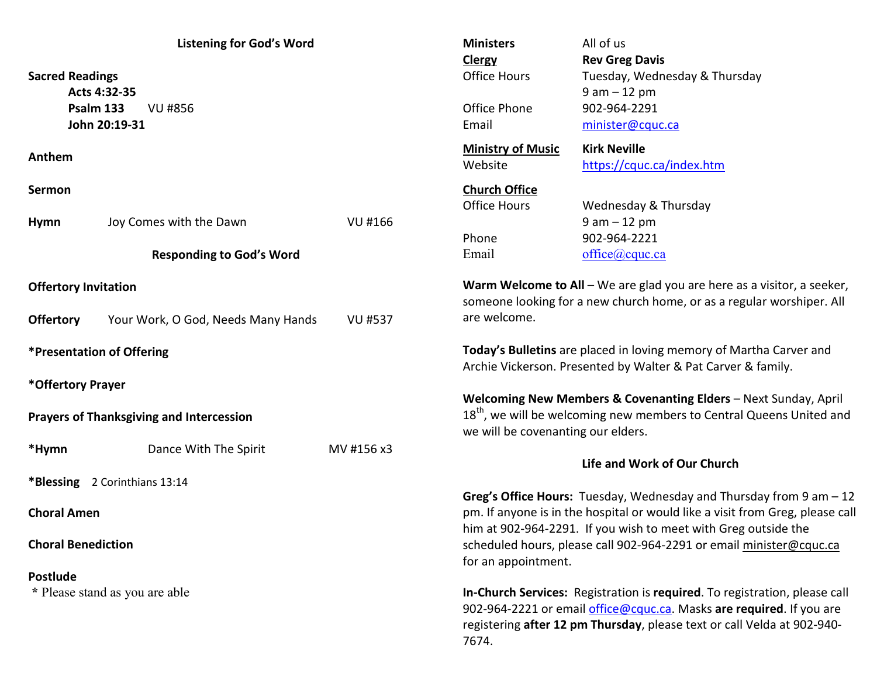| <b>Listening for God's Word</b>                 |                                    | All of us<br><b>Ministers</b><br><b>Rev Greg Davis</b><br><b>Clergy</b>                                                                           |                                                                                                                                                                                                                                        |                                                                        |  |
|-------------------------------------------------|------------------------------------|---------------------------------------------------------------------------------------------------------------------------------------------------|----------------------------------------------------------------------------------------------------------------------------------------------------------------------------------------------------------------------------------------|------------------------------------------------------------------------|--|
| <b>Sacred Readings</b><br>Acts 4:32-35          |                                    |                                                                                                                                                   | <b>Office Hours</b>                                                                                                                                                                                                                    | Tuesday, Wednesday & Thursday<br>$9 am - 12 pm$                        |  |
| Psalm 133<br><b>VU #856</b>                     |                                    |                                                                                                                                                   | Office Phone                                                                                                                                                                                                                           | 902-964-2291                                                           |  |
| John 20:19-31                                   |                                    |                                                                                                                                                   | Email                                                                                                                                                                                                                                  | minister@cquc.ca                                                       |  |
| Anthem                                          |                                    |                                                                                                                                                   | <b>Ministry of Music</b><br>Website                                                                                                                                                                                                    | <b>Kirk Neville</b><br>https://cquc.ca/index.htm                       |  |
| Sermon                                          |                                    |                                                                                                                                                   | <b>Church Office</b>                                                                                                                                                                                                                   |                                                                        |  |
|                                                 |                                    |                                                                                                                                                   | <b>Office Hours</b>                                                                                                                                                                                                                    | Wednesday & Thursday                                                   |  |
| <b>Hymn</b>                                     | Joy Comes with the Dawn            | VU #166                                                                                                                                           |                                                                                                                                                                                                                                        | $9 am - 12 pm$                                                         |  |
|                                                 |                                    |                                                                                                                                                   | Phone                                                                                                                                                                                                                                  | 902-964-2221                                                           |  |
|                                                 | <b>Responding to God's Word</b>    |                                                                                                                                                   | Email                                                                                                                                                                                                                                  | office@cque.ca                                                         |  |
| <b>Offertory Invitation</b>                     |                                    | Warm Welcome to All $-$ We are glad you are here as a visitor, a seeker,<br>someone looking for a new church home, or as a regular worshiper. All |                                                                                                                                                                                                                                        |                                                                        |  |
| <b>Offertory</b>                                | Your Work, O God, Needs Many Hands | <b>VU #537</b>                                                                                                                                    | are welcome.                                                                                                                                                                                                                           |                                                                        |  |
| *Presentation of Offering                       |                                    |                                                                                                                                                   | Today's Bulletins are placed in loving memory of Martha Carver and<br>Archie Vickerson. Presented by Walter & Pat Carver & family.                                                                                                     |                                                                        |  |
| *Offertory Prayer                               |                                    |                                                                                                                                                   |                                                                                                                                                                                                                                        |                                                                        |  |
| <b>Prayers of Thanksgiving and Intercession</b> |                                    |                                                                                                                                                   | Welcoming New Members & Covenanting Elders - Next Sunday, April<br>18 <sup>th</sup> , we will be welcoming new members to Central Queens United and<br>we will be covenanting our elders.                                              |                                                                        |  |
| *Hymn                                           | Dance With The Spirit              | MV #156 x3                                                                                                                                        | Life and Work of Our Church                                                                                                                                                                                                            |                                                                        |  |
| *Blessing 2 Corinthians 13:14                   |                                    |                                                                                                                                                   |                                                                                                                                                                                                                                        |                                                                        |  |
|                                                 |                                    |                                                                                                                                                   |                                                                                                                                                                                                                                        | Greg's Office Hours: Tuesday, Wednesday and Thursday from $9$ am $-12$ |  |
| <b>Choral Amen</b>                              |                                    |                                                                                                                                                   | pm. If anyone is in the hospital or would like a visit from Greg, please call<br>him at 902-964-2291. If you wish to meet with Greg outside the                                                                                        |                                                                        |  |
| <b>Choral Benediction</b>                       |                                    |                                                                                                                                                   | scheduled hours, please call 902-964-2291 or email minister@cquc.ca<br>for an appointment.                                                                                                                                             |                                                                        |  |
| Postlude                                        |                                    |                                                                                                                                                   |                                                                                                                                                                                                                                        |                                                                        |  |
| * Please stand as you are able                  |                                    |                                                                                                                                                   | In-Church Services: Registration is required. To registration, please call<br>902-964-2221 or email office@cquc.ca. Masks are required. If you are<br>registering after 12 pm Thursday, please text or call Velda at 902-940-<br>7674. |                                                                        |  |